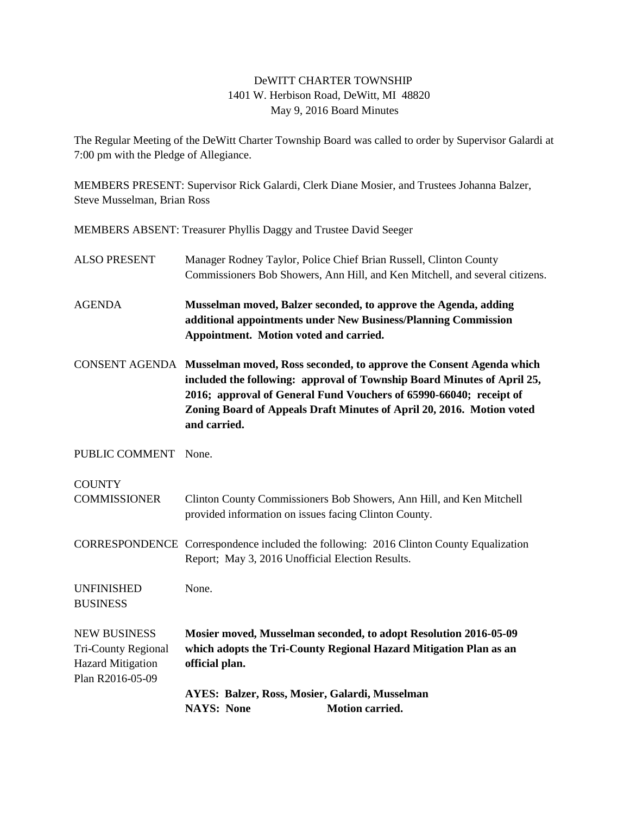## DeWITT CHARTER TOWNSHIP 1401 W. Herbison Road, DeWitt, MI 48820 May 9, 2016 Board Minutes

The Regular Meeting of the DeWitt Charter Township Board was called to order by Supervisor Galardi at 7:00 pm with the Pledge of Allegiance.

MEMBERS PRESENT: Supervisor Rick Galardi, Clerk Diane Mosier, and Trustees Johanna Balzer, Steve Musselman, Brian Ross

MEMBERS ABSENT: Treasurer Phyllis Daggy and Trustee David Seeger

| <b>ALSO PRESENT</b>                                                                               | Manager Rodney Taylor, Police Chief Brian Russell, Clinton County<br>Commissioners Bob Showers, Ann Hill, and Ken Mitchell, and several citizens.                                                                                                                                                                            |
|---------------------------------------------------------------------------------------------------|------------------------------------------------------------------------------------------------------------------------------------------------------------------------------------------------------------------------------------------------------------------------------------------------------------------------------|
| <b>AGENDA</b>                                                                                     | Musselman moved, Balzer seconded, to approve the Agenda, adding<br>additional appointments under New Business/Planning Commission<br>Appointment. Motion voted and carried.                                                                                                                                                  |
|                                                                                                   | CONSENT AGENDA Musselman moved, Ross seconded, to approve the Consent Agenda which<br>included the following: approval of Township Board Minutes of April 25,<br>2016; approval of General Fund Vouchers of 65990-66040; receipt of<br>Zoning Board of Appeals Draft Minutes of April 20, 2016. Motion voted<br>and carried. |
| PUBLIC COMMENT                                                                                    | None.                                                                                                                                                                                                                                                                                                                        |
| <b>COUNTY</b><br><b>COMMISSIONER</b>                                                              | Clinton County Commissioners Bob Showers, Ann Hill, and Ken Mitchell<br>provided information on issues facing Clinton County.                                                                                                                                                                                                |
|                                                                                                   | CORRESPONDENCE Correspondence included the following: 2016 Clinton County Equalization<br>Report; May 3, 2016 Unofficial Election Results.                                                                                                                                                                                   |
| <b>UNFINISHED</b><br><b>BUSINESS</b>                                                              | None.                                                                                                                                                                                                                                                                                                                        |
| <b>NEW BUSINESS</b><br><b>Tri-County Regional</b><br><b>Hazard Mitigation</b><br>Plan R2016-05-09 | Mosier moved, Musselman seconded, to adopt Resolution 2016-05-09<br>which adopts the Tri-County Regional Hazard Mitigation Plan as an<br>official plan.                                                                                                                                                                      |
|                                                                                                   | AYES: Balzer, Ross, Mosier, Galardi, Musselman<br><b>NAYS: None</b><br><b>Motion carried.</b>                                                                                                                                                                                                                                |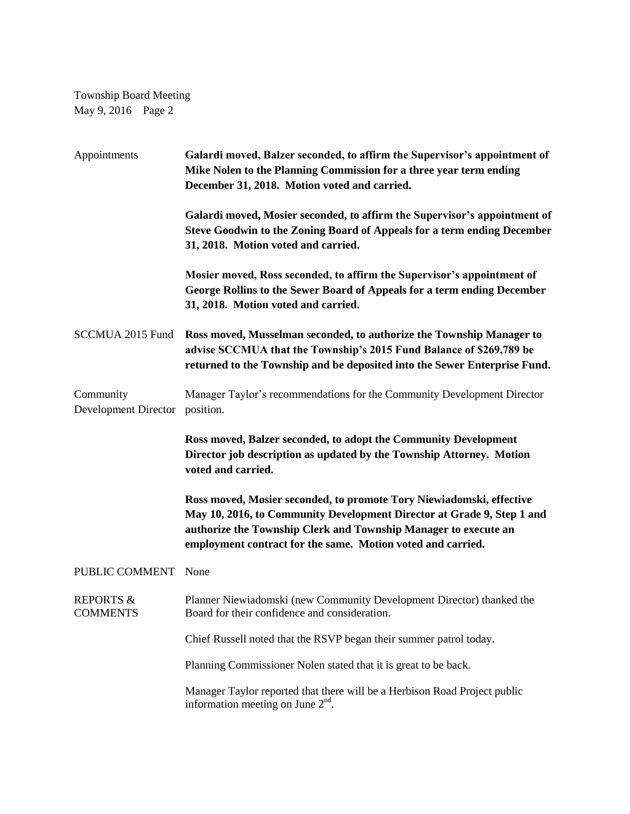Township Board Meeting May 9, 2016 Page 2

| Appointments                             | Galardi moved, Balzer seconded, to affirm the Supervisor's appointment of<br>Mike Nolen to the Planning Commission for a three year term ending<br>December 31, 2018. Motion voted and carried.                                                                                  |
|------------------------------------------|----------------------------------------------------------------------------------------------------------------------------------------------------------------------------------------------------------------------------------------------------------------------------------|
|                                          | Galardi moved, Mosier seconded, to affirm the Supervisor's appointment of<br>Steve Goodwin to the Zoning Board of Appeals for a term ending December<br>31, 2018. Motion voted and carried.                                                                                      |
|                                          | Mosier moved, Ross seconded, to affirm the Supervisor's appointment of<br>George Rollins to the Sewer Board of Appeals for a term ending December<br>31, 2018. Motion voted and carried.                                                                                         |
| SCCMUA 2015 Fund                         | Ross moved, Musselman seconded, to authorize the Township Manager to<br>advise SCCMUA that the Township's 2015 Fund Balance of \$269,789 be<br>returned to the Township and be deposited into the Sewer Enterprise Fund.                                                         |
| Community<br><b>Development Director</b> | Manager Taylor's recommendations for the Community Development Director<br>position.                                                                                                                                                                                             |
|                                          | Ross moved, Balzer seconded, to adopt the Community Development<br>Director job description as updated by the Township Attorney. Motion<br>voted and carried.                                                                                                                    |
|                                          | Ross moved, Mosier seconded, to promote Tory Niewiadomski, effective<br>May 10, 2016, to Community Development Director at Grade 9, Step 1 and<br>authorize the Township Clerk and Township Manager to execute an<br>employment contract for the same. Motion voted and carried. |
| PUBLIC COMMENT                           | None                                                                                                                                                                                                                                                                             |
| <b>REPORTS &amp;</b><br><b>COMMENTS</b>  | Planner Niewiadomski (new Community Development Director) thanked the<br>Board for their confidence and consideration.                                                                                                                                                           |
|                                          | Chief Russell noted that the RSVP began their summer patrol today.                                                                                                                                                                                                               |
|                                          | Planning Commissioner Nolen stated that it is great to be back.                                                                                                                                                                                                                  |
|                                          | Manager Taylor reported that there will be a Herbison Road Project public<br>information meeting on June $2nd$ .                                                                                                                                                                 |